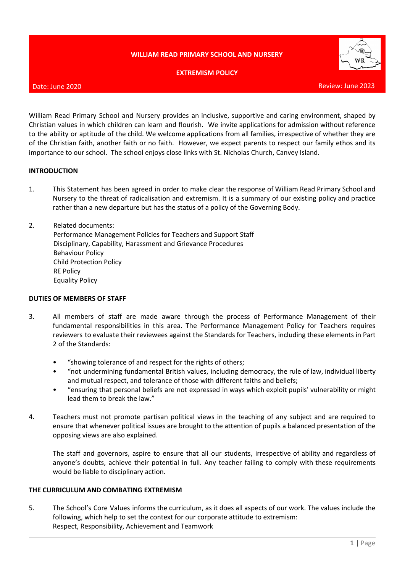# **WILLIAM READ PRIMARY SCHOOL AND NURSERY**

### **EXTREMISM POLICY**



### Date: June 2020

William Read Primary School and Nursery provides an inclusive, supportive and caring environment, shaped by Christian values in which children can learn and flourish. We invite applications for admission without reference to the ability or aptitude of the child. We welcome applications from all families, irrespective of whether they are of the Christian faith, another faith or no faith. However, we expect parents to respect our family ethos and its importance to our school. The school enjoys close links with St. Nicholas Church, Canvey Island.

#### **INTRODUCTION**

- 1. This Statement has been agreed in order to make clear the response of William Read Primary School and Nursery to the threat of radicalisation and extremism. It is a summary of our existing policy and practice rather than a new departure but has the status of a policy of the Governing Body.
- 2. Related documents: Performance Management Policies for Teachers and Support Staff Disciplinary, Capability, Harassment and Grievance Procedures Behaviour Policy Child Protection Policy RE Policy Equality Policy

### **DUTIES OF MEMBERS OF STAFF**

- 3. All members of staff are made aware through the process of Performance Management of their fundamental responsibilities in this area. The Performance Management Policy for Teachers requires reviewers to evaluate their reviewees against the Standards for Teachers, including these elements in Part 2 of the Standards:
	- "showing tolerance of and respect for the rights of others;
	- "not undermining fundamental British values, including democracy, the rule of law, individual liberty and mutual respect, and tolerance of those with different faiths and beliefs;
	- "ensuring that personal beliefs are not expressed in ways which exploit pupils' vulnerability or might lead them to break the law."
- 4. Teachers must not promote partisan political views in the teaching of any subject and are required to ensure that whenever political issues are brought to the attention of pupils a balanced presentation of the opposing views are also explained.

The staff and governors, aspire to ensure that all our students, irrespective of ability and regardless of anyone's doubts, achieve their potential in full. Any teacher failing to comply with these requirements would be liable to disciplinary action.

### **THE CURRICULUM AND COMBATING EXTREMISM**

5. The School's Core Values informs the curriculum, as it does all aspects of our work. The values include the following, which help to set the context for our corporate attitude to extremism: Respect, Responsibility, Achievement and Teamwork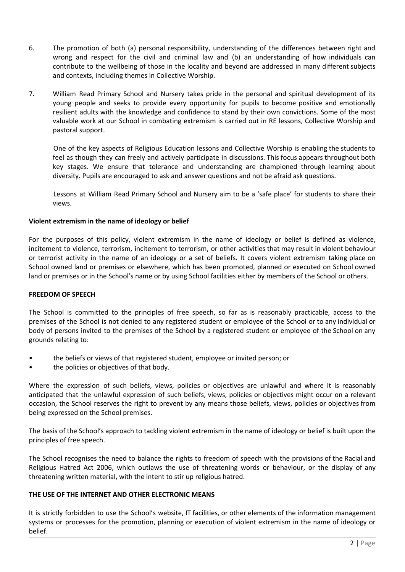- 6. The promotion of both (a) personal responsibility, understanding of the differences between right and wrong and respect for the civil and criminal law and (b) an understanding of how individuals can contribute to the wellbeing of those in the locality and beyond are addressed in many different subjects and contexts, including themes in Collective Worship.
- 7. William Read Primary School and Nursery takes pride in the personal and spiritual development of its young people and seeks to provide every opportunity for pupils to become positive and emotionally resilient adults with the knowledge and confidence to stand by their own convictions. Some of the most valuable work at our School in combating extremism is carried out in RE lessons, Collective Worship and pastoral support.

One of the key aspects of Religious Education lessons and Collective Worship is enabling the students to feel as though they can freely and actively participate in discussions. This focus appears throughout both key stages. We ensure that tolerance and understanding are championed through learning about diversity. Pupils are encouraged to ask and answer questions and not be afraid ask questions.

Lessons at William Read Primary School and Nursery aim to be a 'safe place' for students to share their views.

# **Violent extremism in the name of ideology or belief**

For the purposes of this policy, violent extremism in the name of ideology or belief is defined as violence, incitement to violence, terrorism, incitement to terrorism, or other activities that may result in violent behaviour or terrorist activity in the name of an ideology or a set of beliefs. It covers violent extremism taking place on School owned land or premises or elsewhere, which has been promoted, planned or executed on School owned land or premises or in the School's name or by using School facilities either by members of the School or others.

### **FREEDOM OF SPEECH**

The School is committed to the principles of free speech, so far as is reasonably practicable, access to the premises of the School is not denied to any registered student or employee of the School or to any individual or body of persons invited to the premises of the School by a registered student or employee of the School on any grounds relating to:

- the beliefs or views of that registered student, employee or invited person; or
- the policies or objectives of that body.

Where the expression of such beliefs, views, policies or objectives are unlawful and where it is reasonably anticipated that the unlawful expression of such beliefs, views, policies or objectives might occur on a relevant occasion, the School reserves the right to prevent by any means those beliefs, views, policies or objectives from being expressed on the School premises.

The basis of the School's approach to tackling violent extremism in the name of ideology or belief is built upon the principles of free speech.

The School recognises the need to balance the rights to freedom of speech with the provisions of the Racial and Religious Hatred Act 2006, which outlaws the use of threatening words or behaviour, or the display of any threatening written material, with the intent to stir up religious hatred.

# **THE USE OF THE INTERNET AND OTHER ELECTRONIC MEANS**

It is strictly forbidden to use the School's website, IT facilities, or other elements of the information management systems or processes for the promotion, planning or execution of violent extremism in the name of ideology or belief.